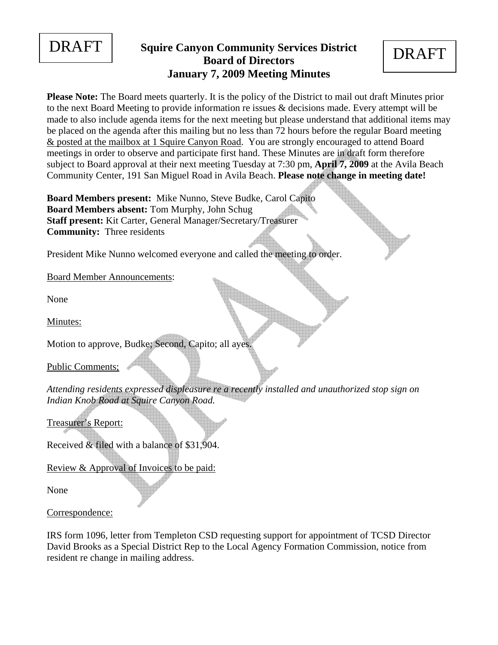

# **DRAFT** Squire Canyon Community Services District **DRAFT Board of Directors January 7, 2009 Meeting Minutes**

**Please Note:** The Board meets quarterly. It is the policy of the District to mail out draft Minutes prior to the next Board Meeting to provide information re issues & decisions made. Every attempt will be made to also include agenda items for the next meeting but please understand that additional items may be placed on the agenda after this mailing but no less than 72 hours before the regular Board meeting & posted at the mailbox at 1 Squire Canyon Road. You are strongly encouraged to attend Board meetings in order to observe and participate first hand. These Minutes are in draft form therefore subject to Board approval at their next meeting Tuesday at 7:30 pm, **April 7, 2009** at the Avila Beach Community Center, 191 San Miguel Road in Avila Beach. **Please note change in meeting date!** 

**Board Members present:** Mike Nunno, Steve Budke, Carol Capito **Board Members absent:** Tom Murphy, John Schug **Staff present:** Kit Carter, General Manager/Secretary/Treasurer **Community:** Three residents

President Mike Nunno welcomed everyone and called the meeting to order.

Board Member Announcements:

None

Minutes:

Motion to approve, Budke; Second, Capito; all ayes.

Public Comments;

*Attending residents expressed displeasure re a recently installed and unauthorized stop sign on Indian Knob Road at Squire Canyon Road.* 

Treasurer's Report:

Received & filed with a balance of \$31,904.

Review & Approval of Invoices to be paid:

None

Correspondence:

IRS form 1096, letter from Templeton CSD requesting support for appointment of TCSD Director David Brooks as a Special District Rep to the Local Agency Formation Commission, notice from resident re change in mailing address.